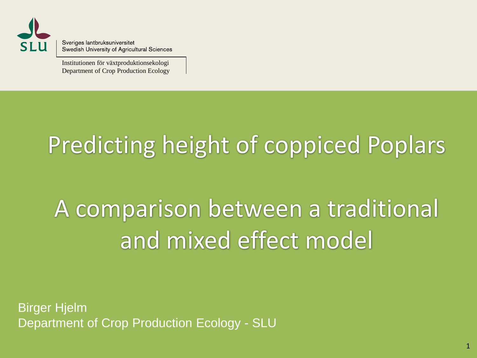

Institutionen för växtproduktionsekologi Department of Crop Production Ecology

## Predicting height of coppiced Poplars

# A comparison between a traditional and mixed effect model

Birger Hjelm Department of Crop Production Ecology - SLU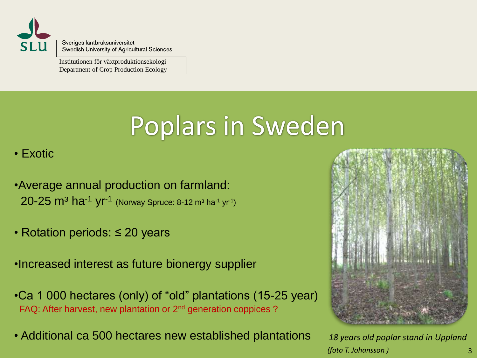

Institutionen för växtproduktionsekologi Department of Crop Production Ecology

# Poplars in Sweden

• Exotic

- •Average annual production on farmland: 20-25  $\text{m}^3 \text{ ha}^{-1} \text{ yr}^{-1}$  (Norway Spruce: 8-12 m<sup>3</sup> ha<sup>-1</sup> yr<sup>-1</sup>)
- Rotation periods: ≤ 20 years
- •Increased interest as future bionergy supplier
- •Ca 1 000 hectares (only) of "old" plantations (15-25 year) FAQ: After harvest, new plantation or 2nd generation coppices ?
- Additional ca 500 hectares new established plantations



 *18 years old poplar stand in Uppland (foto T. Johansson )* 3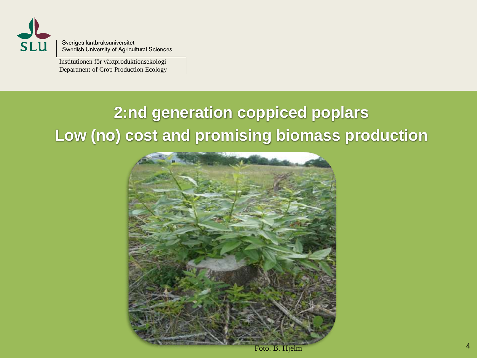

Institutionen för växtproduktionsekologi Department of Crop Production Ecology

### **2:nd generation coppiced poplars Low (no) cost and promising biomass production**

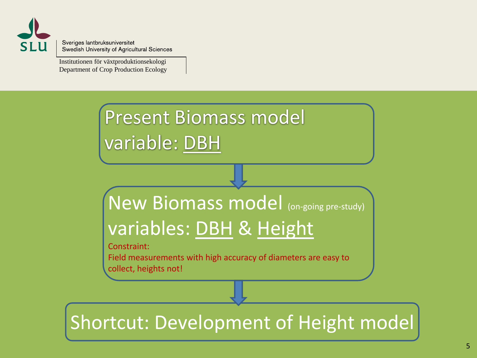

Institutionen för växtproduktionsekologi Department of Crop Production Ecology

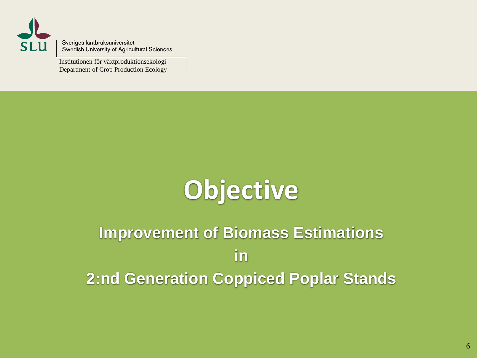

Institutionen för växtproduktionsekologi Department of Crop Production Ecology

# **Objective**

#### **Improvement of Biomass Estimations in 2:nd Generation Coppiced Poplar Stands**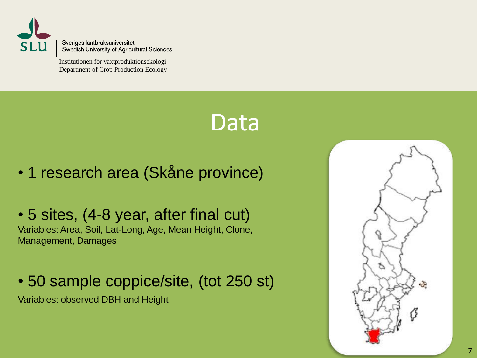

Institutionen för växtproduktionsekologi Department of Crop Production Ecology

### Data

#### • 1 research area (Skåne province)

• 5 sites, (4-8 year, after final cut) Variables: Area, Soil, Lat-Long, Age, Mean Height, Clone, Management, Damages

#### • 50 sample coppice/site, (tot 250 st)

Variables: observed DBH and Height

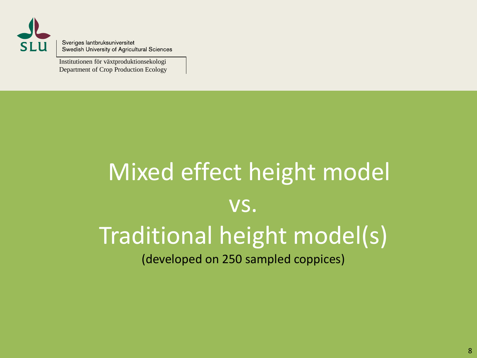

Institutionen för växtproduktionsekologi Department of Crop Production Ecology

## Mixed effect height model vs. Traditional height model(s) (developed on 250 sampled coppices)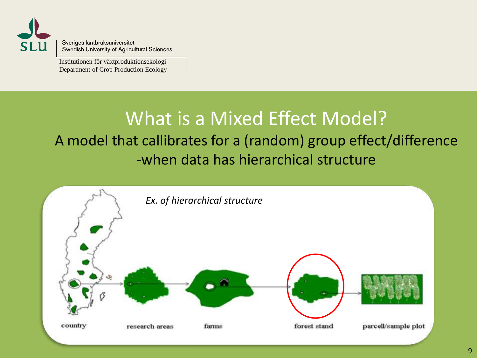

Institutionen för växtproduktionsekologi Department of Crop Production Ecology

#### What is a Mixed Effect Model? A model that callibrates for a (random) group effect/difference -when data has hierarchical structure

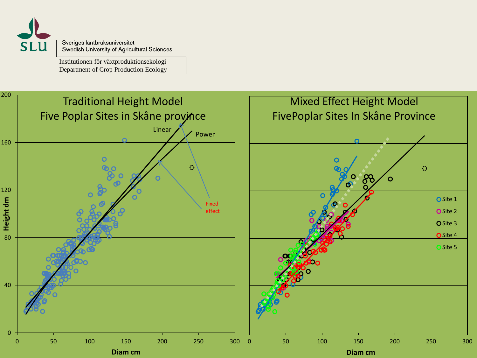

Institutionen för växtproduktionsekologi Department of Crop Production Ecology

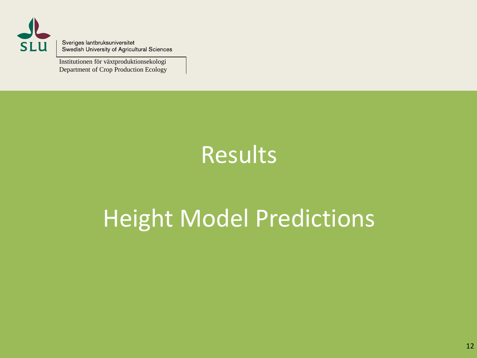

Institutionen för växtproduktionsekologi Department of Crop Production Ecology

### Results

### Height Model Predictions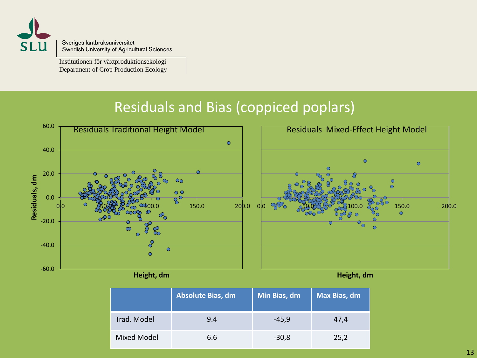

Institutionen för växtproduktionsekologi Department of Crop Production Ecology

#### Residuals and Bias (coppiced poplars)



|                    | Absolute Bias, dm | Min Bias, dm | Max Bias, dm |
|--------------------|-------------------|--------------|--------------|
| Trad. Model        | 9.4               | $-45,9$      | 47.4         |
| <b>Mixed Model</b> | 6.6               | $-30,8$      | 25,2         |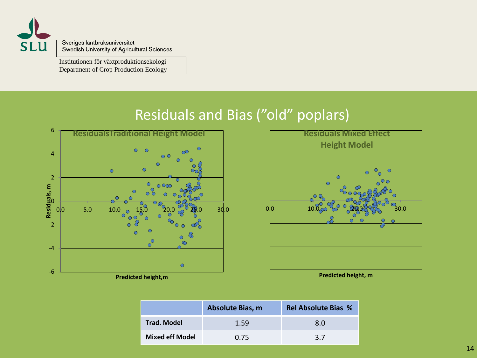

Institutionen för växtproduktionsekologi Department of Crop Production Ecology

#### Residuals and Bias ("old" poplars)





**Predicted height, m**

|                        | <b>Absolute Bias, m</b> | <b>Rel Absolute Bias %</b> |
|------------------------|-------------------------|----------------------------|
| Trad. Model            | 1.59                    | 8.0                        |
| <b>Mixed eff Model</b> | 0.75                    | 3.7                        |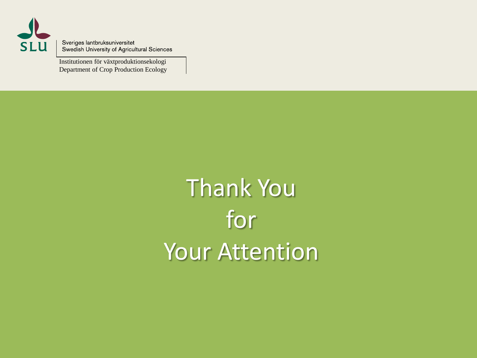

Institutionen för växtproduktionsekologi Department of Crop Production Ecology

# Thank You for Your Attention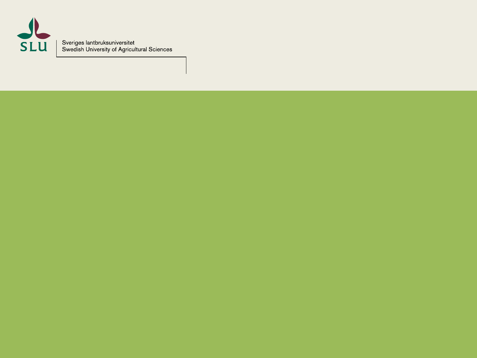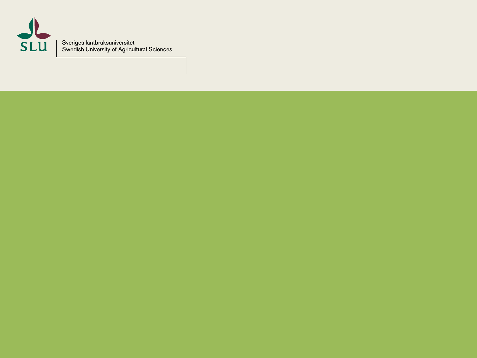